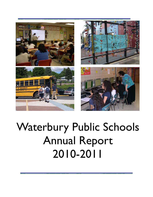





# Waterbury Public Schools Annual Report 2010-2011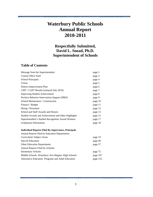# **Waterbury Public Schools Annual Report 2010-2011**

### **Respectfully Submitted, David L. Snead, Ph.D. Superintendent of Schools**

### **Table of Contents**

| Message from the Superintendent                            | page 2   |
|------------------------------------------------------------|----------|
| <b>Central Office Staff</b>                                | page 3   |
| <b>School Principals</b>                                   | page 4   |
| Vision                                                     | page 5   |
| District Improvement Plan                                  | page 6   |
| CMT / CAPT Results (released July 2010)                    | page 7   |
| <b>Improving Student Achievement</b>                       | page 8   |
| Positive Behavior Intervention Support (PBIS)              | page 9   |
| School Maintenance / Construction                          | page 10  |
| Finance / Budget                                           | page 11  |
| Hiring / Personnel                                         | page 12  |
| School and Staff Awards and Honors                         | page 13  |
| Student Awards and Achievement and Other Highlights        | page 15  |
| Superintendent's Student Recognition Award Winners         | page 17  |
| <b>Graduation Information</b>                              | page 18  |
| <b>Individual Reports Filed By Supervisors, Principals</b> |          |
| Annual Reports filed by Education Departments:             |          |
| Curriculum/Subject Areas                                   | page 19  |
| <b>Special Education</b>                                   | page 40  |
| <b>Other Education Departments</b>                         | page 57  |
| Annual Reports Filed by Schools:                           |          |
| <b>Elementary Schools</b>                                  | page 72  |
| Middle Schools, Waterbury Arts Magnet, High Schools        | page 107 |
| Alternative Education Programs and Adult Education         | page 125 |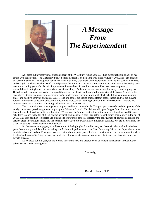

# *A Message From The Superintendent*

As I close out my last year as Superintendent of the Waterbury Public Schools, I find myself reflecting back on my tenure with satisfaction. The Waterbury Public School district has come a long way since August of 2000, and I am proud of our accomplishments. Although we have been faced with many challenges and opportunities, we have met each with courage and strength. We have excellent staff, a good plan for the future, and the ability to move forward into a strong leadership position in the coming years. Our District Improvement Plan and our School Improvement Plans are based on proven, research-based strategies and on data-driven decision-making. Authentic assessments are used to analyze student progress. Data driven decision making has been adopted throughout the district and now guides instructional decisions. Schools utilize specialized literacy and numeracy teachers to augment classroom teaching, along with block scheduling, common planning times, and positive behavior strategies. Successes at one school are shared among staff at other schools, and we are moving forward in our quest to become effectively-functioning Professional Learning Communities, where students, teachers and administrators are committed to learning and helping each other to excel. .

 The community has come together to support and invest in its schools. This past year we celebrated the opening of the newly constructed pre-kindergarten to eighth grade Gilmartin School. This fall we will open Duggan School, a new construction utilizing the facade of an historic building. We are now beginning construction of the new Rev. Jonathan Reed School, scheduled to open in the fall of 2012, and we are finalizing plans for a new Carrington School, which should open in the fall of 2013. This is in addition to updates and expansions of our other schools, especially the construction of new media centers and science areas in our high schools and the complete renovation of our Alternative Education building. We are also planning for a new Waterbury Career Academy High School.

 On the next several pages you will see some of the highlights from this past year. You will also read individual reports from our top administration, including our Assistant Superintendents, our Chief Operating Officer, our Supervisors, other administrative staff and our Principals. As you review these reports, you will discover a vibrant and thriving community where teaching and learning is going on every day and where high expectations and strong parental involvement remain important keys to success.

 As we close out this year, we are looking forward to new and greater levels of student achievement throughout the school system in the coming year.

Sincerely,

David L. Snead, Ph.D.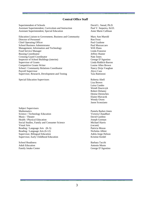#### **Central Office Staff**

Superintendent of Schools David L. Snead, Ph.D. Assistant Superintendent, Curriculum and Instruction Paul V. Sequeira, Ed.D. Assistant Superintendent, Special Education Anne Marie Cullinan

Education Liaison to Government, Business and Community Mary Ann Marold Director of Personnel Ron Frost<br>
Chief Operating Officer<br>
Ron Frost<br>
Paul Guidone Chief Operating Officer School Business Administrator Paul Mazzaccaro Management, Information and Technology Will Zhuta Food Service Manager **Linda Franzese** Linda Franzese Bussing Coordinator and the United States of the United States of Telecommunity and Jeffrey Hunter Crossing Guard Coordinator Nate Jones Inspector of School Buildings (interim) George D'Agostino Supervisor of Grants Linda Riddick-Barron Competitive Grants Writer Louise Allen Brown School / Community Relations Coordinator Nancy Dzija Vaughan Payroll Supervisor<br>
Supervisor. Research. Development and Testing<br>
Tara Battistoni Supervisor, Research, Development and Testing

Special Education Supervisors Roberta Abell

Subject Supervisors Mathematics Pamela Barker-Jones Science / Technology Education Victoria Chaudhuri Music / Theater **David Gardino** Health / Physical Education Joseph Gorman Social Studies, Family and Consumer Science Michael Harris Visual Arts (vacant) Reading / Language Arts (K-5) Patricia Moran Reading / Language Arts (6-12) Nicholas Albini Supervisor, Bilingual Education <br>
Supervisor, Early Childhood Education <br>
Adela Jorge-Nelson <br>
Aristine Keidel Supervisor, Early Childhood Education

School Readiness Barbara Tacchi Adult Education **Antonio Musto** Antonio Musto Family Intake Center George D'Agostino

 Lisa Brown Luisa Cumbo Wendi Dawiczyk Robert Delaney Denise Derenches Elaine Hlavacek Wendy Owen Jason Sconziano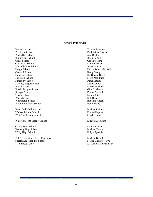#### **School Principals**

Barnard School Thomas Pannone Brooklyn School Dr. Patricia Frageau Bucks Hill School **Ann Begley** Bunker Hill School Brian Goggin Chase School Celia Piccochi Carrington School **Kevin Brennan** Wendell Cross School Joseph Amato Driggs School Diurca Tomasella, SVP Generali School Kathy Stamp Gilmartin School Dr. Donald Burzler Hopeville School Maria Moulthrop Kingsbury School Pamela Baim Maloney Magnet School **Donna Cullen** Regan School Noreen Buckley Rotella Magnet School Gina Calabrese Sprague School Donna Perreault Tinker School Lauren Elias Walsh School **Existence** Erik Brown Washington School Roxanne Augelli Woodrow Wilson School Robin Henry

North End Middle School Michael LoRusso Wallace Middle School **Donald Rapuano** Donald Rapuano West Side Middle School Charles Nappi

Waterbury Arts Magnet School **Elizabeth McGrath** 

Crosby High School Dr. Louis Padua Kennedy High School Nichael Yamin Wilby High School **Robyn Apicella** 

Enlightenment and Excel Programs Michele Buerkle Special Education Pre-School Marisa Blakeslee, SVP State Street School Lisa Ariola-Simoes, SVP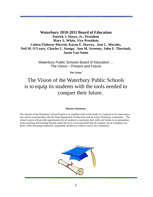### **Waterbury 2010-2011 Board of Education Patrick J. Hayes, Jr., President Mary S. White, Vice President Coleen Flaherty-Merritt, Karen E. Harvey, Jose L. Morales, Neil M. O'Leary, Charles L. Stango, Ann M. Sweeney, John E. Theriault, Jason Van Stone**

Waterbury Public Schools Board of Education ... The Vision – Present and Future

**The Vision:** 

# The Vision of the Waterbury Public Schools is to equip its students with the tools needed to conquer their future.

#### **Mission Statement:**

The mission of the Waterbury School System is to establish itself as the leader in Connecticut for urban education reform in partnership with the State Department of Education and the entire Waterbury community. The school system will provide opportunities for all students to maximize their skills and talents in an atmosphere where teaching and learning flourish under the never-wavering belief that all students can be exemplary students, while becoming respectful, responsible, productive citizens vital to our community.

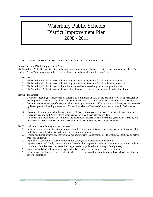# Waterbury Public Schools District Improvement Plan 2008 - 2011

#### DISTRICT IMPROVEMENT PLAN – KEY STRATEGIES AND INTERVENTIONS

Current Status of District Improvement Plan –

The Waterbury Public School district is in the process of implementing its most recent District Improvement Plan. The Plan is a "living" document, meant to be reviewed and updated annually to reflect progress.

District Goals-

- 1. The Waterbury Public Schools will attain high academic achievement for all students in literacy.
- 2. The Waterbury Public Schools will attain high academic achievement for all students in numeracy.
- 3. The Waterbury Public Schools will provide a safe and secure teaching and learning environment.
- 4. The Waterbury Public Schools will ensure that all parents are actively engaged in the educational process.

Tier One Indicators:

- 1. To increase reading proficiency for all students by a minimum of 15% by the end of three years as measured by Developmental Reading Assessment, Connecticut Mastery Test, and Connecticut Academic Performance Test.
- 2. To increase mathematics proficiency for all students by a minimum of 15% by the end of three years as measured by Developmental Reading Assessment, Connecticut Mastery Test, and Connecticut Academic Performance Test.
- 3. To reduce the number of school suspensions by 15% over three years as measured by district suspension data.
- 4. To reduce truancy by 15% over three years as measured by district attendance data.
- 5. To increase the involvement of families in the educational process by 15% over three years as measured by strategic district surveys and participation in school and district meetings, workshops and events.

Tier Two Indicators: New Strategies / Interventions:

- 1. Create and implement a district-wide professional learning community system to improve the achievement of all students in core subject areas, particularly in literacy and numeracy:
- 2. Provide additional prescriptive instructional support systems to address the needs of students identified as below proficient in literacy
- 3. Implement a continuum of positive intervention strategies to address student behaviors.
- 4. Improve meaningful family partnerships with the school by improving two-way communication among students, schools and families based on research strategies and data gathered from strategic family surveys.
- 5. Investigate and design the restructuring of schools to address the academic needs of all students
- 6. Fill all vacant positions with high quality teachers as early as possible and retain only those who demonstrate superior performance.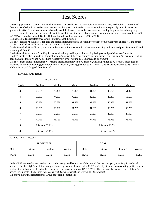# Test Scores

Our strong performing schools continued to demonstrate excellence. For example, Kingsbury School, a school that was removed from the list of schools in need of improvement just last year, continued to show growth this year, especially in math across the grades at 81.6%. Overall, our students showed growth in the two core subjects of math and reading in grades three through eight.

 Some of our schools showed substantial growth in specific areas. For example, math proficiency level improved from 67% to 77.9% at Brooklyn School. Bunker Hill fourth grade reading rose from 55.4% to 73.3%.

Comparison to District Reference Group (similar school districts):

Grade 3 – ranked #1 in all areas for goal and proficient (improvement in writing proficient from #3 last year, all else was the same) Grade 4 – ranked #1 in all areas except for writing proficient

Grade 5 – ranked #1 in all areas, which includes science; improvement from last year in writing both goal and proficient from #2 and science goal from #2

Grade 6 – maintained 4 and 5 ranking in math and writing, and improved in reading both goal and proficient to #2 from #4 Grade 7 – math proficient up to #3 from #4, reading proficient #2 down from #1, writing proficient #1 up from #2, math and reading goal maintained their #4 and #2 positions respectively, while writing goal improved to #1 from #2

Grade 8 – math proficient remained #4, reading proficient improved to #3 from #4, writing goal fell to #2 from #1, math goal improved to #4 from #5, reading goal improved to #2 from #4, writing goal fell to #2 from #1, science proficient rose to #3 from #5, while science goal dropped from #4 to #5.

|       |                    | <b>PROFICIENT</b> |       |         | <b>GOAL</b>        |       |
|-------|--------------------|-------------------|-------|---------|--------------------|-------|
| Grade | Reading            | Writing           | Math  | Reading | Writing            | Math  |
| 3     | 60.6%              | 72.4%             | 79.4% | 41.8%   | 46.8%              | 51.4% |
| 4     | 58.6%              | 74.6%             | 79.2% | 42.1%   | 45.4%              | 53.5% |
| 5     | 58.3%              | 78.8%             | 81.9% | 37.8%   | 45.4%              | 57.5% |
| 6     | 69.0%              | 66.2%             | 67.5% | 51.6%   | 38.3%              | 38.7% |
| 7     | 66.0%              | 58.2%             | 65.6% | 53.9%   | 32.3%              | 36.1% |
| 8     | 59.2%              | 63.9%             | 58.5% | 47.4%   | 38.4%              | 28.5% |
| 5     | Science = $62.0\%$ |                   |       |         | Science = $29.7%$  |       |
| 8     | Science = $41.0\%$ |                   |       |         | Science = $24.3\%$ |       |

| <b>PROFICIENT</b> |         |         |         |      | GOAL    |         |         |
|-------------------|---------|---------|---------|------|---------|---------|---------|
| Math              | Science | Reading | Writing | Math | Science | Reading | Writing |
| 44.5%             | 28.6%   | 56.7%   | 80.6%   | 1.4% | 1.6%    | 13.6%   | 33.1%   |

In the CAPT test results, we see that our schools have gained back some of the ground they lost last year, especially in math and science. Crosby High School, for example, showed growth in all areas, with 80.8% of Crosby students demonstrating proficiency in writing, the highest score the school ever achieved on this generation of CAPT. Wilby High school also showed some of its highest scores ever in math (46.8% proficient), science (50.2% proficient) and writing (81.2 proficient). We are #1 in our District Reference Group for writing - proficient.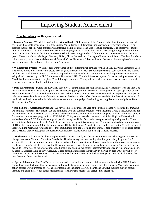# Improving Student Achievement

### **New Initiatives for this year include:**

= **Literacy Academy Wendell Cross/District-wide roll out** – At the request of the Board of Education, training was provided for Cohort II schools, made up of Sprague, Driggs, Walsh, Bucks Hill, Brooklyn, and Carrington Elementary Schools. The teachers in these schools were provided with intensive training on research based teaching strategies. The objective of this program is to immerse each child in comprehensive literacy programs to promote thinking and reasoning through meaningful integrated instruction. In April 2011, the third cohort schools were brought on board for training and implementation of the program. These schools include Regan, Barnard, Tinker, Chase, Generali, and Carrington Elementary Schools. Teachers from both cohorts were given professional days to visit Wendell Cross Elementary School and learn, first-hand, the strategies of the emergent school concept as offered by the Literacy Academy.

= **Walkthrough Process -** Walkthroughs were piloted in three different standardized formats in May 2010 and September 2010. The results of this pilot were used to create a set of guidelines whereby each School Improvement Team developed and submitted their own walkthrough process. They were required to base their school-based form on general requirements that were developed and presented by the PLC Committee in November 2010. The administrators began to formalize their processes and by March 2011 were required to complete 25 walkthroughs per month. Through district-wide input, we have developed a model, template, and strategies for the walkthrough process.

= **Data Warehousing -** During the 2010-2011 school year, central office, school principals, and teachers met with the IBM Cognos Connection consultants to develop the Data Warehousing program for the district. Although the in-depth operation of the Data Warehouse will be handled by the Information Technology Department, assistant superintendents, supervisors, and principals spent a considerable amount of time in developing the dashboard to reflect the operational data for the efficient running of the district and individual schools. We believe we are at the cutting edge of technology as it applies to data analysis for Data Driven Decision Making.

= **Middle School Accelerated Program** - We have completed our second year of the Middle School Accelerated Program and we continue to increase enrollment. We are continuing with our summer program for the incoming Grade 6 MSAA students for the summer of 2011. There will be 20 students from each middle school who will attend Naugatuck Valley Community College for a 4-day science-based program from STARBASE. This year we have also partnered with Johns Hopkins University that enabled our Grade 7 MSAA students to participate in taking the SATs. Our students responded with glowing results. There were a total of 140 students from the 3 middle schools who accepted this challenge and 38 students attained the minimum score of 410 in the Verbal and/or 430 in the Mathematics. Of the 38 students, 26 students scored at least 410 in the Verbal, 5 scored at least 430 in the Math, and 7 students scored the minimum in both the Verbal and the Math. These students were honored at this year's MSAA Grade 6 Reception and received Certificates of Achievement for their unparalleled success.

= **Mathematics -** A new textbook was implemented in grades 4 and 5, and the curriculum was revised to begin to address the change over to the Common Core State Standards. The elementary teachers in all grades, but particularly in grades 3 – 5 worked diligently to incorporate the newer strategies that will move our students forward over the next three years as we prepare for the new testing in 2014. The Board of Education approved curriculum revisions and course sequencing for the high school began its second year of implementation. Additionally, pre and post benchmark assessments were used in Algebra I, Geometry, Algebra II, Discrete Math, and Pre-Calculus. These benchmarks assisted the teachers in staying on pace while paying closer attention to the needs of the students. The curriculum work that was done over the last three years is very well aligned to the new Common Core State Standards.

= **Special Education -** The ProxTalker, a communication device for non verbal children, was purchased with ARRA funds from a local manufacturer. This device is useful for students with autism and severely disabled students. Many other communication devices were purchased as well as other technology including SMART boards and SMART tables to support student learning and computers, touch screen monitors and Hatch systems specifically designed for preschool.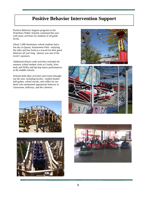# **Positive Behavior Intervention Support**

Positive Behavior Support programs in the Waterbury Public Schools continued this year with many activities for students of all grade levels.

About 1,000 elementary school students had a fun day at Quassy Amusement Park - enjoying the rides and free food as a reward for their good behavior all year long. Quassy was one of the event's sponsors.

Additional district-wide activities included elementary school student visits to Crosby, Kennedy and Wilby and hip hop dance performances at the middle schools.

Schools held other activities and events throughout the year, including faculty / student basketball games, school socials, and raffles for students who maintained appropriate behavior in classrooms, hallways, and the cafeteria.









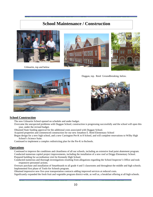## **School Maintenance / Construction**



Gilmartin, top and below







Duggan, top. Reed Groundbreaking, below.



#### **School Construction**

The new Gilmartin School opened on schedule and under budget.

- Overcame the unexpected problems with Duggan School; construction is progressing successfully and the school will open this year, under the revised budget.
- Obtained State funding approval for the additional costs associated with Duggan School.

Acquired properties and commenced construction for our new Jonathon E. Reed Elementary School

- Began design for a new high school, and a new Carrington Pre-K to 8 School, and will complete renovations to Wilby High School's Science Suite.
- Continued to implement a complex redistricting plan for the Pre-K to 8schools.

#### **Operations**

Continued to improve the conditions and cleanliness of all our schools, including an extensive lead paint abatement program. Conducted numerous capitol project improvements, including the installation of a new roof at Driggs Elementary School. Prepared building for accreditation visit for Kennedy High School.

Conducted numerous and thorough investigations resulting from allegations regarding the School Inspector's Office and took responsive personnel actions.

Oversaw purchase and installation of Smartboards to all grade 4 and 5 classrooms and throughout the middle and high schools. Implemented first phase of Tools-for Schools program.

Obtained impressive new five-year transportation contracts adding improved services at reduced costs.

Significantly expanded the fresh fruit and vegetable program district-wide, as well as, a breakfast offering at all high schools.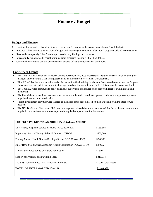# **Finance / Budget**

### **Budget and Finance**

- Continued to control costs and achieve a year end budget surplus in the second year of a no-growth budget.
- Prepared a third consecutive no-growth budget with little negative effect on educational programs offered to our students.
- Received a completely "clean" audit report void of any findings or comments.
- Successfully implemented Federal Stimulus grant programs totaling \$13 Million dollars.
- Continued measures to contain overtime costs despite difficult winter weather conditions.

### **Entitlement Grants**

- The Title I ARRA (American Recovery and Reinvestment Act) was successfully spent on a district level including the hiring of tutors near the CMT testing season and an increase of Professional Development.
- Title IID ARRA funds were used to assist district staff in final training for the new Data Warehouse, as well as Progress Book, Assessment Update and a new technology based curriculum soft ware for U.S. History on the secondary level.
- The Title IIA funds continued to assist principals, supervisors and central office staff with teacher training including mentoring.
- The financial and educational assistance for the state and federal consolidated grants continued through monthly meetings, handouts and site based visits.
- Parent involvement activities were tailored to the needs of the school based on the partnership with the State of Connecticut.
- The NCLB's School Choice and SES (free tutoring) was reduced due to the one time ARRA funds. Parents on the waiting the list were offered educational support during the last quarter and for the summer.

#### **COMPETITIVE GRANTS AWARDED To Waterbury, 2010-2011**

| \$155,886.           |
|----------------------|
| \$600,000.           |
| \$24,500.            |
| \$5000.              |
| \$1500.              |
| \$315,974.           |
| \$1000. (City Award) |
| \$1,103,860.         |
|                      |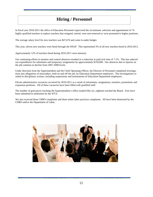# **Hiring / Personnel**

In fiscal year 2010-2011 the office of Education Personnel supervised the recruitment, selection and appointment of 74 highly qualified teachers to replace teachers that resigned, retired, were non-renewed or were promoted to higher positions.

The average salary level for new teachers was \$47,676 and came in under budget.

This year, eleven new teachers were hired through the DSAP. This represented 3% of all new teachers hired in 2010-2011.

Approximately 12% of teachers hired during 2010-2011 were minority.

Our continuing efforts to monitor and control absences resulted in a reduction in paid sick time of 7.1%. This has reduced our expenditures for substitutes and temporary assignments by approximately \$150,000. Our absences due to injuries on the job continue to decline from 2007-2008 levels.

Under direction from the Superintendent and the Chief Operating Officer, the Director of Personnel completed investigations into allegations of misconduct, both on and off the job, by Education Department employees. The investigations resulted in disciplinary actions, including suspensions and terminations of Education Department employees.

Eleven administrative vacancies occurred for 2010-2011 as a result of retirements, resignations, transfers, promotions and expansion positions. All of these vacancies have been filled with qualified staff.

The number of grievances reaching the Superintendent's office totaled fifty-six, eighteen reached the Board. Four have been submitted to arbitration by the WTA.

We also received three CHRO complaints and three unfair labor practices complaints. All have been dismissed by the CHRO and/or the Department of Labor.

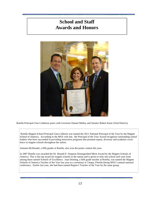# **School and Staff Awards and Honors**



Rotella Principal Gina Calabrese poses with Governor Dannel Malloy and Senator Robert Kane (32nd District).

 Rotella Magnet School Principal Gina Calbrese was named the 2011 National Principal of the Year by the Magnet School of America. According to the MSA web site, the Principal of the Year Award recognizes outstanding school leaders who have succeeded in providing innovative programs that promote equity, diversity and academic excellence in magnet schools throughout the nation.

Autumn McDonald, a fifth grader at Rotella, also won the poster contest this year.

In 2007 Rotella was awarded the Dr. Ronald P. Simpson Distinguished Merit Award by the Magnet Schools of America. This is the top award for magnet schools in the nation and is given to only one school each year from among those named Schools of Excellence. Joan Dooling, a fifth grade teacher at Rotella, was named the Magnet Schools of America Teacher of the Year last year at a ceremony in Tampa, Florida during MSA's annual national conference. Earlier last year, she had been named Region I Teacher of the Year by the same group.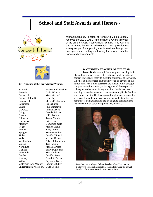# **School and Staff Awards and Honors -**



Michael LoRusso, Principal of North End Middle School, received the 2011 CASL Administrator's Award this year at the annual CASL Festival held April 27. The Administrator's Award honors an administrator "who provides necessary support for improving media services through encouragement and adequate funding for program maintenance and improvement."



#### **2011 Teacher of the Year Award Winners**

Barnard Frances Finkenzeller Brooklyn Carla Fidanza Bucks Hill Mary Wozniak Bucks Hill Pre-K Heidi Fay Bunker Hill Michael T. Labagh Carrington Pia Behlman Chase Julia Matthews W. Cross Johnna DiVito Driggs Brenda Falcone Generali Nikki Barbieri Gilmartin Teresa Morais Kingsbury Eric Feeney Maloney Domenica Zurlo Regan Marion Ciarlo Rotella Kelly Pinho Sprague Maureen Miller Tinker Jennifer Dimech Walsh Yvonne Brown Washington Allysa J. Lombardo Wilson Tara Schulte North End Maria N. Pesce Wallace Sharyn Ogrodnik West Side Marla Valente Crosby Jennifer Stone Kennedy David A. Peruta Wilby Raymond Byron Waterbury Arts Magnet James C. Butler Enlightenment / State St. Dana Coelho

#### **WATERBURY TEACHER OF THE YEAR**

**James Butler** exemplifies what great teaching looks like and his students leave with confidence and exceptional content knowledge, ready to meet the challenges of the world. Whether in the cafeteria, on bus duty or as co-advisor of the senior class, Mr. Butler possesses the innate ability, through compassion and reasoning, to have garnered the respect of colleagues and students in any situation. Jamie has been teaching for twelve years and is an outstanding Social Studies teacher and mentor. He develops and implements lessons that are steeped in authentic tasks by placing students in the moment that is being examined and by aligning connections to the curriculum of other disciplines (art, theater).



Waterbury Arts Magnet School Teacher of the Year James Butler with Principal Elizabeth McGrath following the annual Teacher of the Year Awards ceremony in June.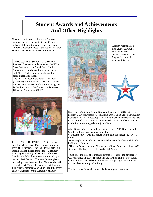# **Student Awards and Achievements And Other Highlights**

Crosby High School's Lifesmarts Team once again was named Connecticut State Champions and earned the right to compete in Hollywood California against the rest of the nation. Teacher Donna Mancuso is the advisor for the team.

Two Crosby High School Future Business Leaders of America students won at the FBLA State Competition on March 28th. Kaitlyn Sprague won third place for personal finance and Alieha Anderson won third place for spreadsheet applications.

The FBLA advisor at the school is Melissa (Marcoux) Sieffert, Business Teacher. In addition to being the FBLA advisor at Crosby, she is also President of the Connecticut Business Educators Association (CBEA).



PEACE POSTER CONTEST - This year's annual Lions Club Peace Poster contest winners were: (L-R first row) Oneisha Clark, North End Middle School; Logan Bandellone, Waterbury Arts Magnet School; and Madenh Veliju, West Side Middle School, who was represented by art teacher Mark Daniels. The awards were given out during a luncheon by Lions Club members (L -R, back row) Walter Sherman, district governor; Lisa Martin, president, and Mike Granituk, poster contest chairmen for the Waterbury chapter.



Autumn McDonald, a fifth grader at Rotella, won the national poster contest from the Magnet Schools of America this year.



Kennedy High School Senior Domenic Roy won the 2010- 2011 Connecticut Daily Newspaper Association's annual High School Journalism Contest for Feature Photography, only one of seven students in the state to be honored. The CDNA Board received a record number of entries exhibiting outstanding talent in journalism.

Also, Kennedy's The Eagle Flyer has won three 2011 New England Scholastic Press Association awards for:

\* Feature story; "One girl strives to find cure for cancer" by Alyssa Smith

 \*Feature photo; "Could Oceans Divide be Kennedy's best rock band?" by Katianna Seman

 \*Highest Achievement for Newspapers, Class I (with more than 1,000 students); The Eagle Flyer, Kennedy High School.

This brings the total of journalism awards to 44 since the newspaper was reinvented in 2004. The students are thrilled, and the best part is many are freshmen and sophomores who are getting more and more excited about reading and writing!

Teacher Alena Cybart-Persenaire is the newspaper's advisor.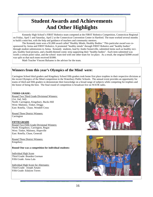# **Student Awards and Achievements And Other Highlights**

 Kennedy High School's FIRST Robotics team competed at the FIRST Robotics Competition, Connecticut Regional on Friday, April 1 and Saturday, April 2 at the Connecticut Convention Center in Hartford. The team worked several months to build a mini-bot, with the help and guidance of teachers and community mentors.

 The Kennedy team won a \$1,000 award called "Healthy Minds, Healthy Bodies." This particular award was cosponsored by Aetna and FIRST Robotics. It promoted "healthy minds" through FIRST Robotics and "healthy bodies" through student submissions to Aetna. Kennedy students, lead by Andre Somerville, submitted items such as healthy recipes, healthy food pictures, and a health-themed comic strip supporting their "healthy bodies". Each item submitted was worth a certain point value, and the school team tied with one other team for 1st place. As a result, the original \$2000 award was split so that each team received \$1000.

Math Teacher Vincent Balsamo is the advisor for the team.

### **Winners from this year's Olympics of the Mind were:**

Carrington School third graders and Kingsbury School fifth graders took home first place trophies in their respective divisions at the recent Olympics of the Mind competition in the Waterbury Public Schools. The annual event provides an opportunity for teams of third and fifth graders to demonstrate their knowledge on a broad range of subjects while competing for trophies and the honor of being the best. The final round of competition is broadcast live on WATR radio.

#### **THIRD GRADE:**

Round Two Third Grade Divisional Winners: (1st, 2nd, 3rd): North: Carrington, Kingsbury, Bucks Hill West: Maloney, Tinker, Driggs East: Rotella, Chase, Wendell Cross

Round Three District Winners: **Carrington** 

#### **FIFTH GRADE**

Round Two Fifth Grade Divisional Winners: North: Kingsbury, Carrington, Regan West: Tinker, Maloney, Hopeville East: Rotella, Chase, Generali

Round Three District Winners: Kingsbury

#### **Round One was a competition for individual students:**

Individual High Score Third Grade: Braeden Gorman Fifth Grade: Anna Lala

Individual High Score for Alternates: Third Grade: Joseph Amato Fifth Grade: Edalynn Torres



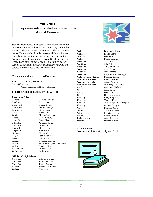### **2010-2011 Superintendent's Student Recognition Award Winners**

Students from across the district were honored May 6 for their contributions to their school community and for their student leadership, as well as for their academic achievements. Two pre-school students received Bright Futures Awards, while 54 students, including one representing Waterbury Adult Education, received Certificates of Excellence. Each of the students had been identified by their schools as having demonstrated exemplary behavior and service to their schools and the community.

#### **The students who received certificates are:**

#### **BRIGHT FUTURES AWARDS**

Bucks Hill Annex

Alison Gonzales and Shayla Zhizhpan

#### **CERTIFICATES OF EXCELLENCE AWARDS**

#### **Elementary Schools**

Barnard Gexiera Derisier Brooklyn Isaac Smyth Buck's Hill Wilson Rolon Carrington Silvia Lopez Generali Sarah Glaser Kingsbury Vod Vilfort Rotella Fuka Asahi<br>Sprague Hennesis Es

#### **Middle and High Schools**

Wallace Klea Kaso

Bunker Hill Melina Kolonja Chase Alyssa Dotson<br>W. Cross Marena Meleno Marena Melendez Driggs Kashon Young Gilmartin Jonathan Serrano Gilmartin Lilliano Pedro Hopeville Elias DeJesus Maloney Shynia Moore Regan Fatmir Kaliki Sprague Hennesis Estevez Rebekah Hedgeland-Merancy Walsh Ameika King<br>Washington Lilliana Lopez Lilliana Lopez W. Wilson Carly Rosa

North End Orlando DeJesus North End Joseph Paduano North End Joshua Adorno Wallace Sebastian Corrales Wallace Dea Ballij Wallace Brielle Sanders<br>West Side Tea Culani West Side Tea Culani<br>West Side John Albino West Side Christian Tynan West Side Cesar Quintal West Side Mirna Hanna Waterbury Arts Magnet Blessing Zenick Waterbury Arts Magnet Ryan Trochsler Waterbury Arts Magnet Ashley Stewart Crosby Aujanique Nichols Crosby Jorna Sojati Crosby Daniel Brito Crosby Dilan Mohammed Kennedy Keely Bergin Kennedy Victoria Heyde Wilby Brandon Ralph Wilby Samantha Cassell Wilby Francisco Garcia<br>Wilby Reynaldo Morillo Enlightenment Angel Rodriguez



Wallace Deborah Vaichus Wallace Phalen Smith John Albino West Side Angelica Pollard-Knight Waterbury Arts Magnet Max Tanguay-Colucci Kennedy Maria Alejandro Rodriquez<br>
Kennedy Artuoro Pelegrin Artuoro Pelegrin Reynaldo Morillo State St. Dayshawn Smith

#### **Adult Education**

Waterbury Adult Education Tyrone Smith